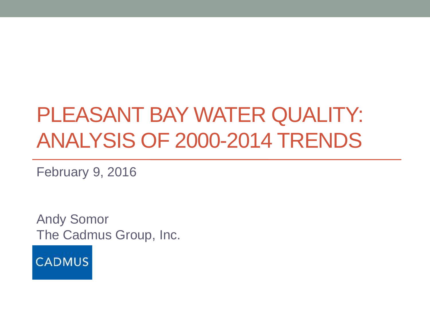## PLEASANT BAY WATER QUALITY: ANALYSIS OF 2000-2014 TRENDS

February 9, 2016

Andy Somor The Cadmus Group, Inc.

**CADMUS**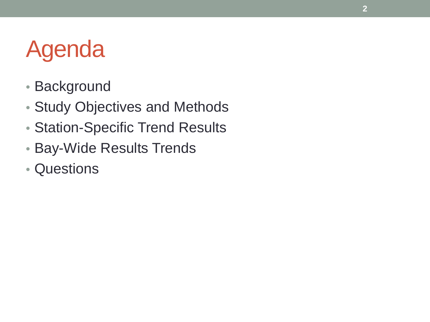# Agenda

- Background
- Study Objectives and Methods
- Station-Specific Trend Results
- Bay-Wide Results Trends
- Questions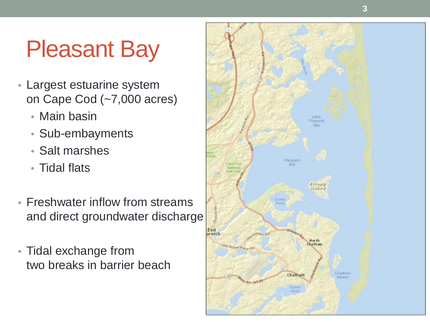# Pleasant Bay

- Largest estuarine system on Cape Cod (~7,000 acres)
	- Main basin
	- Sub-embayments
	- Salt marshes
	- Tidal flats
- Freshwater inflow from streams and direct groundwater discharge
- Tidal exchange from two breaks in barrier beach

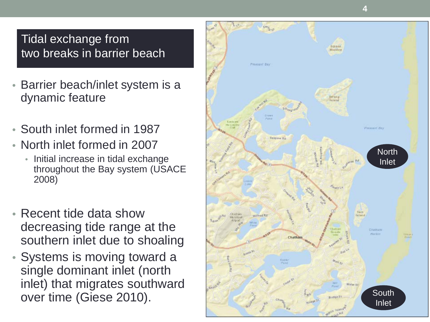#### Tidal exchange from two breaks in barrier beach

- Barrier beach/inlet system is a dynamic feature
- South inlet formed in 1987
- North inlet formed in 2007
	- Initial increase in tidal exchange throughout the Bay system (USACE 2008)
- Recent tide data show decreasing tide range at the southern inlet due to shoaling
- Systems is moving toward a single dominant inlet (north inlet) that migrates southward

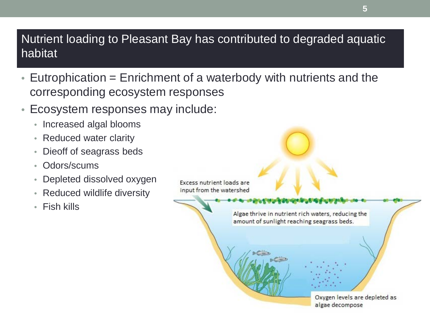#### Nutrient loading to Pleasant Bay has contributed to degraded aquatic habitat

- $\bullet$  Eutrophication = Enrichment of a waterbody with nutrients and the corresponding ecosystem responses
- Ecosystem responses may include:
	- Increased algal blooms
	- Reduced water clarity
	- Dieoff of seagrass beds
	- Odors/scums
	- Depleted dissolved oxygen
	- Reduced wildlife diversity
	- Fish kills

**Excess nutrient loads are** input from the watershed

> Algae thrive in nutrient rich waters, reducing the amount of sunlight reaching seagrass beds.

change and the property of the control



**5**

Oxygen levels are depleted as algae decompose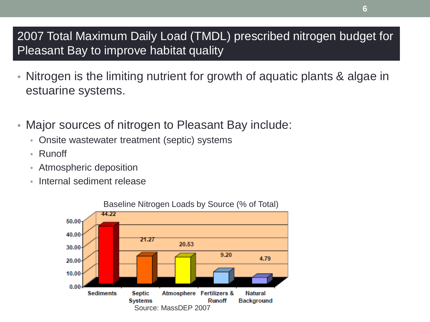#### 2007 Total Maximum Daily Load (TMDL) prescribed nitrogen budget for Pleasant Bay to improve habitat quality

- Nitrogen is the limiting nutrient for growth of aquatic plants & algae in estuarine systems.
- Major sources of nitrogen to Pleasant Bay include:
	- Onsite wastewater treatment (septic) systems
	- Runoff
	- Atmospheric deposition
	- Internal sediment release



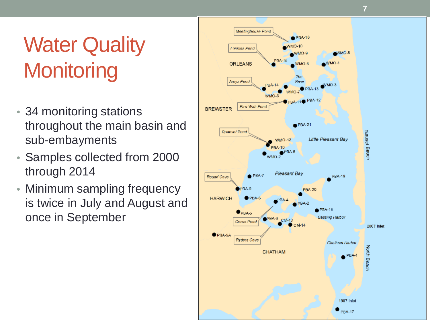# **Water Quality Monitoring**

- 34 monitoring stations throughout the main basin and sub -embayments
- Samples collected from 2000 through 2014
- Minimum sampling frequency is twice in July and August and once in September

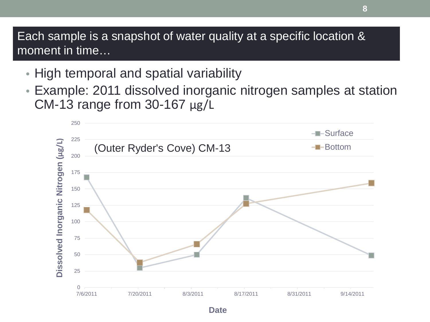Each sample is a snapshot of water quality at a specific location & moment in time…

- High temporal and spatial variability
- Example: 2011 dissolved inorganic nitrogen samples at station CM-13 range from 30-167 μg/L

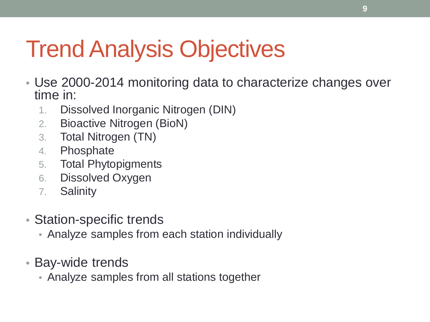# Trend Analysis Objectives

- Use 2000-2014 monitoring data to characterize changes over time in:
	- 1. Dissolved Inorganic Nitrogen (DIN)
	- 2. Bioactive Nitrogen (BioN)
	- 3. Total Nitrogen (TN)
	- 4. Phosphate
	- 5. Total Phytopigments
	- 6. Dissolved Oxygen
	- 7. Salinity
- Station-specific trends
	- Analyze samples from each station individually
- Bay-wide trends
	- Analyze samples from all stations together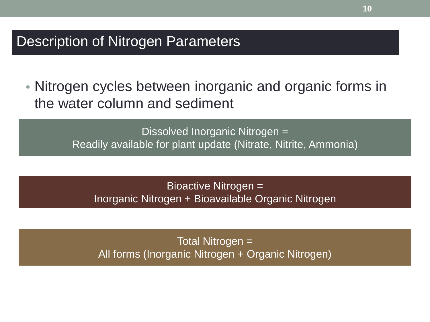#### Description of Nitrogen Parameters

• Nitrogen cycles between inorganic and organic forms in the water column and sediment

> Dissolved Inorganic Nitrogen = Readily available for plant update (Nitrate, Nitrite, Ammonia)

Bioactive Nitrogen = Inorganic Nitrogen + Bioavailable Organic Nitrogen

Total Nitrogen = All forms (Inorganic Nitrogen + Organic Nitrogen)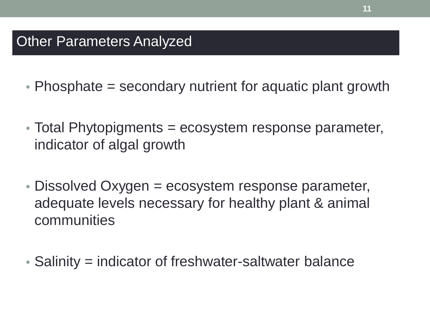### Other Parameters Analyzed

- Phosphate = secondary nutrient for aquatic plant growth
- Total Phytopigments = ecosystem response parameter, indicator of algal growth
- Dissolved Oxygen = ecosystem response parameter, adequate levels necessary for healthy plant & animal communities
- Salinity = indicator of freshwater-saltwater balance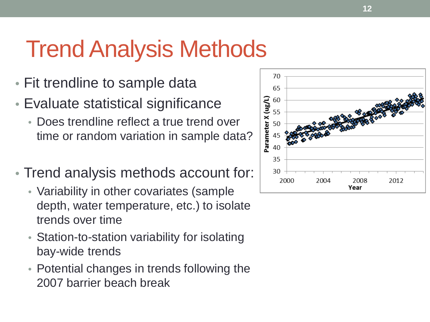# Trend Analysis Methods

- Fit trendline to sample data
- Evaluate statistical significance
	- Does trendline reflect a true trend over time or random variation in sample data?
- Trend analysis methods account for:
	- Variability in other covariates (sample depth, water temperature, etc.) to isolate trends over time
	- Station-to-station variability for isolating bay-wide trends
	- Potential changes in trends following the 2007 barrier beach break

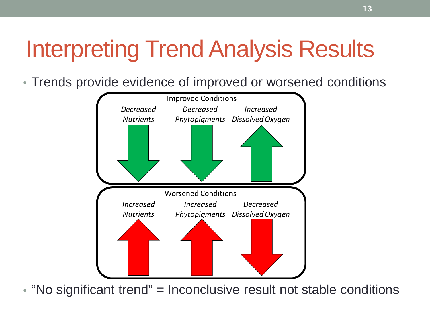# Interpreting Trend Analysis Results

• Trends provide evidence of improved or worsened conditions



• "No significant trend" = Inconclusive result not stable conditions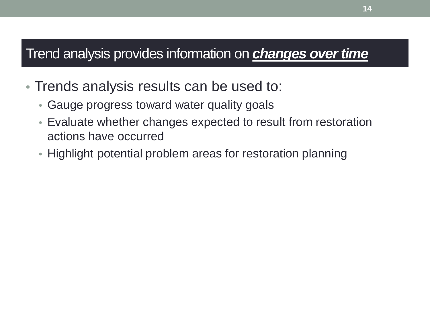### Trend analysis provides information on *changes over time*

- Trends analysis results can be used to:
	- Gauge progress toward water quality goals
	- Evaluate whether changes expected to result from restoration actions have occurred
	- Highlight potential problem areas for restoration planning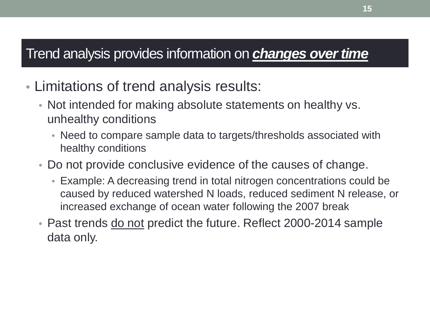### Trend analysis provides information on *changes over time*

- Limitations of trend analysis results:
	- Not intended for making absolute statements on healthy vs. unhealthy conditions
		- Need to compare sample data to targets/thresholds associated with healthy conditions
	- Do not provide conclusive evidence of the causes of change.
		- Example: A decreasing trend in total nitrogen concentrations could be caused by reduced watershed N loads, reduced sediment N release, or increased exchange of ocean water following the 2007 break
	- Past trends do not predict the future. Reflect 2000-2014 sample data only.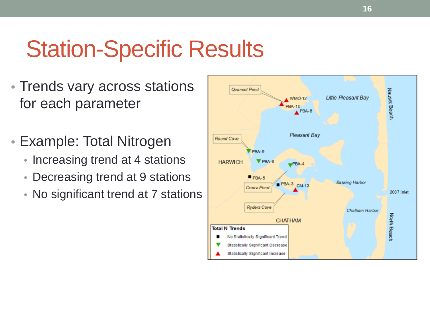# Station-Specific Results

- Trends vary across stations for each parameter
- Example: Total Nitrogen
	- Increasing trend at 4 stations
	- Decreasing trend at 9 stations
	- No significant trend at 7 stations

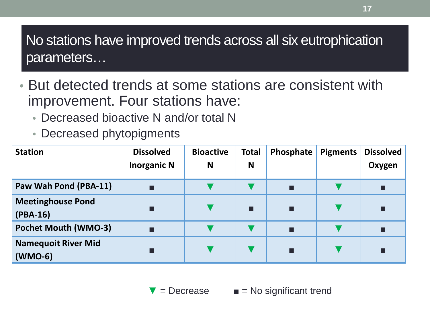No stations have improved trends across all six eutrophication parameters…

- But detected trends at some stations are consistent with improvement. Four stations have:
	- Decreased bioactive N and/or total N
	- Decreased phytopigments

| <b>Station</b>                          | <b>Dissolved</b><br><b>Inorganic N</b> | <b>Bioactive</b><br>N | <b>Total</b><br>N | Phosphate | <b>Pigments</b> | <b>Dissolved</b><br>Oxygen |
|-----------------------------------------|----------------------------------------|-----------------------|-------------------|-----------|-----------------|----------------------------|
| Paw Wah Pond (PBA-11)                   | П                                      |                       |                   |           |                 | □                          |
| <b>Meetinghouse Pond</b><br>$(PBA-16)$  | П                                      |                       | П                 |           |                 | П                          |
| <b>Pochet Mouth (WMO-3)</b>             | ■                                      |                       |                   |           |                 |                            |
| <b>Namequoit River Mid</b><br>$(WMO-6)$ | П                                      |                       |                   |           |                 | П                          |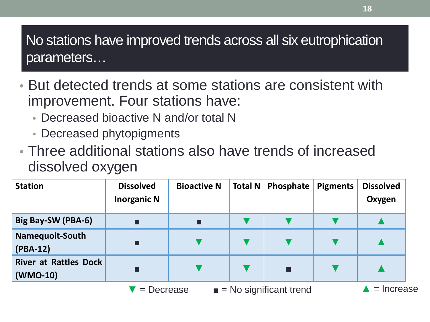No stations have improved trends across all six eutrophication parameters…

- But detected trends at some stations are consistent with improvement. Four stations have:
	- Decreased bioactive N and/or total N
	- Decreased phytopigments
- Three additional stations also have trends of increased dissolved oxygen

| <b>Station</b>                           | <b>Dissolved</b><br><b>Inorganic N</b> | <b>Bioactive N</b>                                      | <b>Total N</b> | <b>Phosphate</b> | <b>Pigments</b> | <b>Dissolved</b><br>Oxygen |
|------------------------------------------|----------------------------------------|---------------------------------------------------------|----------------|------------------|-----------------|----------------------------|
| Big Bay-SW (PBA-6)                       | п                                      |                                                         |                |                  |                 |                            |
| Namequoit-South<br>$(PBA-12)$            | П                                      |                                                         |                |                  |                 |                            |
| <b>River at Rattles Dock</b><br>(WMO-10) | П                                      |                                                         |                | п                |                 |                            |
|                                          |                                        | $\blacksquare$ = No significant trend<br>$'$ = Decrease |                |                  |                 | $=$ Increase               |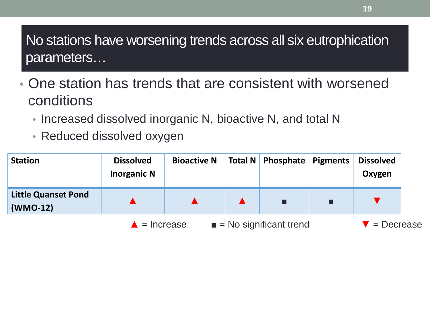## No stations have worsening trends across all six eutrophication parameters…

- One station has trends that are consistent with worsened conditions
	- Increased dissolved inorganic N, bioactive N, and total N
	- Reduced dissolved oxygen

| <b>Station</b>                           | <b>Dissolved</b><br><b>Inorganic N</b> | <b>Bioactive N</b>                                  |  | Total N   Phosphate   Pigments |  | <b>Dissolved</b><br>Oxygen |
|------------------------------------------|----------------------------------------|-----------------------------------------------------|--|--------------------------------|--|----------------------------|
| <b>Little Quanset Pond</b><br>$(WMO-12)$ |                                        |                                                     |  |                                |  |                            |
|                                          |                                        | $\blacksquare$ = No significant trend<br>= Increase |  |                                |  | = Decrease                 |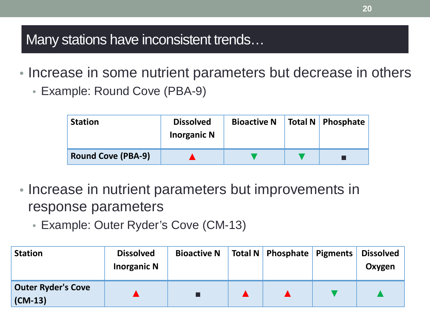Many stations have inconsistent trends…

- Increase in some nutrient parameters but decrease in others
	- Example: Round Cove (PBA-9)

| <b>Station</b>            | <b>Dissolved</b><br><b>Inorganic N</b> | <b>Bioactive N</b> | Total N   Phosphate |
|---------------------------|----------------------------------------|--------------------|---------------------|
| <b>Round Cove (PBA-9)</b> |                                        |                    |                     |

- Increase in nutrient parameters but improvements in response parameters
	- Example: Outer Ryder's Cove (CM-13)

| <b>Station</b>                         | <b>Dissolved</b><br><b>Inorganic N</b> | <b>Bioactive N</b> | Total N   Phosphate   Pigments | <b>Dissolved</b><br>Oxygen |
|----------------------------------------|----------------------------------------|--------------------|--------------------------------|----------------------------|
| <b>Outer Ryder's Cove</b><br>$(CM-13)$ |                                        |                    |                                |                            |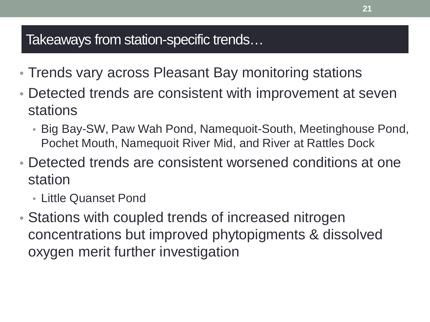### Takeaways from station-specific trends…

- Trends vary across Pleasant Bay monitoring stations
- Detected trends are consistent with improvement at seven stations
	- Big Bay-SW, Paw Wah Pond, Namequoit-South, Meetinghouse Pond, Pochet Mouth, Namequoit River Mid, and River at Rattles Dock
- Detected trends are consistent worsened conditions at one station
	- Little Quanset Pond
- Stations with coupled trends of increased nitrogen concentrations but improved phytopigments & dissolved oxygen merit further investigation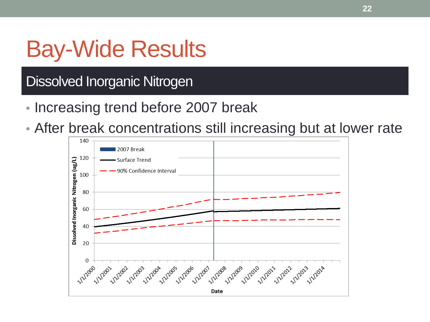# Bay-Wide Results

## Dissolved Inorganic Nitrogen

- Increasing trend before 2007 break
- After break concentrations still increasing but at lower rate

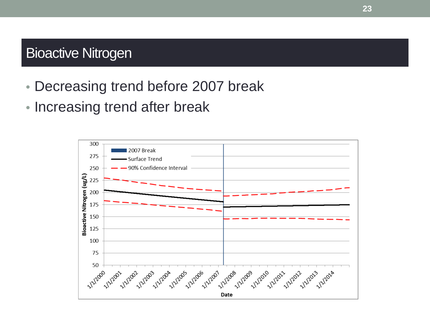### Bioactive Nitrogen

- Decreasing trend before 2007 break
- Increasing trend after break

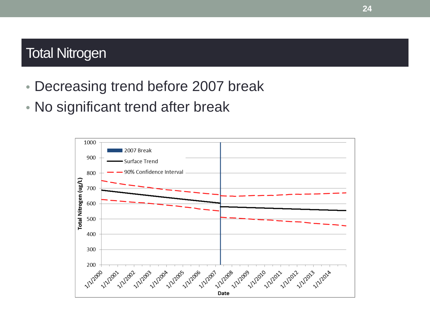### Total Nitrogen

- Decreasing trend before 2007 break
- No significant trend after break

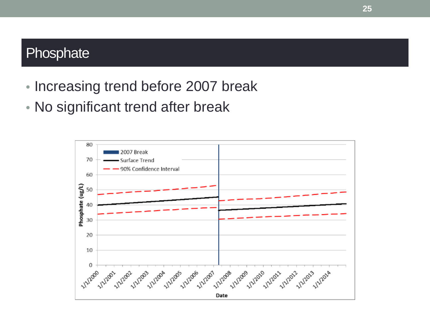### **Phosphate**

- Increasing trend before 2007 break
- No significant trend after break

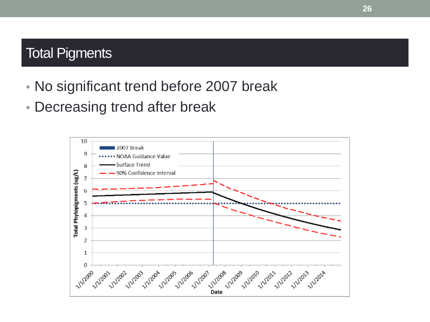### Total Pigments

- No significant trend before 2007 break
- Decreasing trend after break

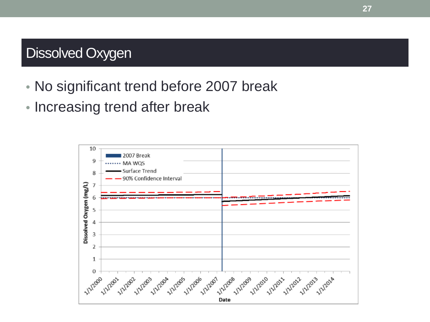## Dissolved Oxygen

- No significant trend before 2007 break
- Increasing trend after break

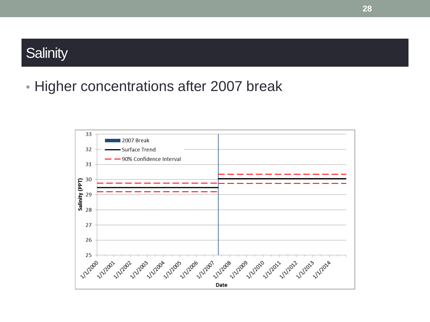### **Salinity**

• Higher concentrations after 2007 break

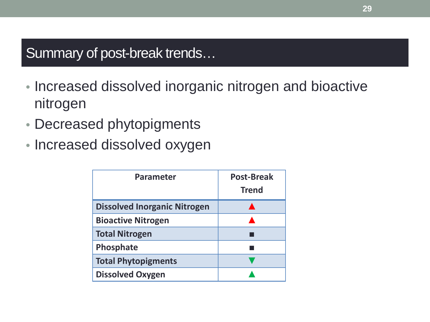### Summary of post-break trends…

- Increased dissolved inorganic nitrogen and bioactive nitrogen
- Decreased phytopigments
- Increased dissolved oxygen

| <b>Parameter</b>                    | <b>Post-Break</b><br><b>Trend</b> |
|-------------------------------------|-----------------------------------|
| <b>Dissolved Inorganic Nitrogen</b> |                                   |
| <b>Bioactive Nitrogen</b>           |                                   |
| <b>Total Nitrogen</b>               |                                   |
| Phosphate                           |                                   |
| <b>Total Phytopigments</b>          |                                   |
| <b>Dissolved Oxygen</b>             |                                   |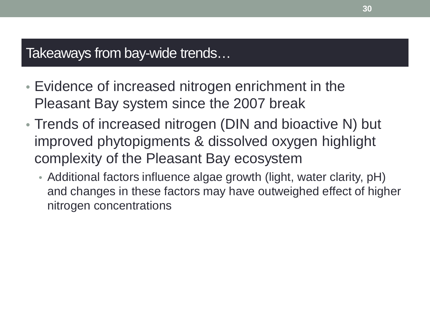### Takeaways from bay-wide trends…

- Evidence of increased nitrogen enrichment in the Pleasant Bay system since the 2007 break
- Trends of increased nitrogen (DIN and bioactive N) but improved phytopigments & dissolved oxygen highlight complexity of the Pleasant Bay ecosystem
	- Additional factors influence algae growth (light, water clarity, pH) and changes in these factors may have outweighed effect of higher nitrogen concentrations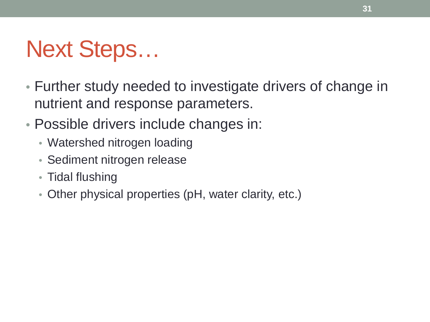# Next Steps…

- Further study needed to investigate drivers of change in nutrient and response parameters.
- Possible drivers include changes in:
	- Watershed nitrogen loading
	- Sediment nitrogen release
	- Tidal flushing
	- Other physical properties (pH, water clarity, etc.)